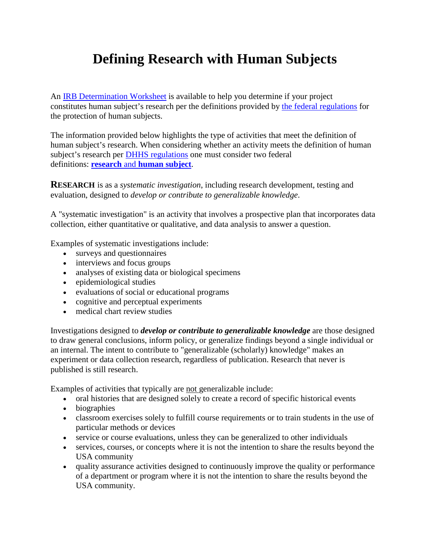## **Defining Research with Human Subjects**

An [IRB Determination Worksheet](https://www.southalabama.edu/departments/research/compliance/humansubjects/resources/irb.review.determination.worksheet.pdf) is available to help you determine if your project constitutes human subject's research per the definitions provided by [the federal regulations](https://www.hhs.gov/ohrp/regulations-and-policy/regulations/45-cfr-46/index.html) for the protection of human subjects.

The information provided below highlights the type of activities that meet the definition of human subject's research. When considering whether an activity meets the definition of human subject's research per [DHHS regulations](http://www.hhs.gov/ohrp/humansubjects/guidance/45cfr46.html) one must consider two federal definitions: **research** and **[human subject](http://www.hhs.gov/ohrp/humansubjects/guidance/45cfr46.html#46.102)**.

**RESEARCH** is as a *systematic investigation*, including research development, testing and evaluation, designed to *develop or contribute to generalizable knowledge*.

A "systematic investigation" is an activity that involves a prospective plan that incorporates data collection, either quantitative or qualitative, and data analysis to answer a question.

Examples of systematic investigations include:

- surveys and questionnaires
- interviews and focus groups
- analyses of existing data or biological specimens
- epidemiological studies
- evaluations of social or educational programs
- cognitive and perceptual experiments
- medical chart review studies

Investigations designed to *develop or contribute to generalizable knowledge* are those designed to draw general conclusions, inform policy, or generalize findings beyond a single individual or an internal. The intent to contribute to "generalizable (scholarly) knowledge" makes an experiment or data collection research, regardless of publication. Research that never is published is still research.

Examples of activities that typically are not generalizable include:

- oral histories that are designed solely to create a record of specific historical events
- biographies
- classroom exercises solely to fulfill course requirements or to train students in the use of particular methods or devices
- service or course evaluations, unless they can be generalized to other individuals
- services, courses, or concepts where it is not the intention to share the results beyond the USA community
- quality assurance activities designed to continuously improve the quality or performance of a department or program where it is not the intention to share the results beyond the USA community.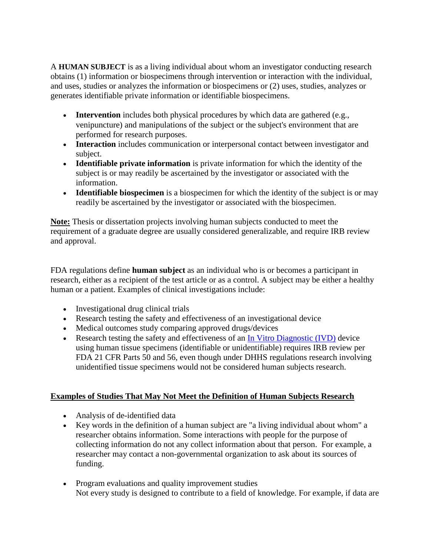A **HUMAN SUBJECT** is as a living individual about whom an investigator conducting research obtains (1) information or biospecimens through intervention or interaction with the individual, and uses, studies or analyzes the information or biospecimens or (2) uses, studies, analyzes or generates identifiable private information or identifiable biospecimens.

- **Intervention** includes both physical procedures by which data are gathered (e.g., venipuncture) and manipulations of the subject or the subject's environment that are performed for research purposes.
- **Interaction** includes communication or interpersonal contact between investigator and subject.
- **Identifiable private information** is private information for which the identity of the subject is or may readily be ascertained by the investigator or associated with the information.
- **Identifiable biospecimen** is a biospecimen for which the identity of the subject is or may readily be ascertained by the investigator or associated with the biospecimen.

**Note:** Thesis or dissertation projects involving human subjects conducted to meet the requirement of a graduate degree are usually considered generalizable, and require IRB review and approval.

FDA regulations define **human subject** as an individual who is or becomes a participant in research, either as a recipient of the test article or as a control. A subject may be either a healthy human or a patient. Examples of clinical investigations include:

- Investigational drug clinical trials
- Research testing the safety and effectiveness of an investigational device
- Medical outcomes study comparing approved drugs/devices
- Research testing the safety and effectiveness of an In Vitro [Diagnostic \(IVD\)](http://www.fda.gov/MedicalDevices/ProductsandMedicalProcedures/InVitroDiagnostics/default.htm) device using human tissue specimens (identifiable or unidentifiable) requires IRB review per FDA 21 CFR Parts 50 and 56, even though under DHHS regulations research involving unidentified tissue specimens would not be considered human subjects research.

## **Examples of Studies That May Not Meet the Definition of Human Subjects Research**

- Analysis of de-identified data
- Key words in the definition of a human subject are "a living individual about whom" a researcher obtains information. Some interactions with people for the purpose of collecting information do not any collect information about that person. For example, a researcher may contact a non-governmental organization to ask about its sources of funding.
- Program evaluations and quality improvement studies Not every study is designed to contribute to a field of knowledge. For example, if data are